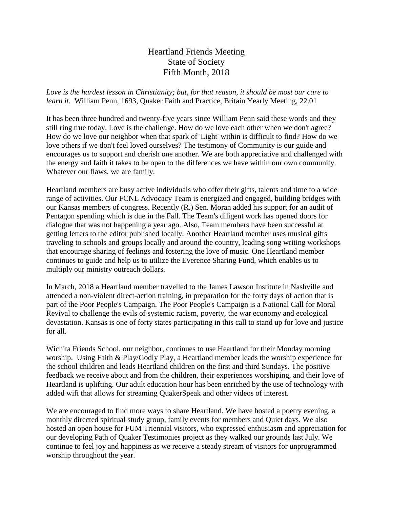## Heartland Friends Meeting State of Society Fifth Month, 2018

*Love is the hardest lesson in Christianity; but, for that reason, it should be most our care to learn it.* William Penn, 1693, Quaker Faith and Practice, Britain Yearly Meeting, 22.01

It has been three hundred and twenty-five years since William Penn said these words and they still ring true today. Love is the challenge. How do we love each other when we don't agree? How do we love our neighbor when that spark of 'Light' within is difficult to find? How do we love others if we don't feel loved ourselves? The testimony of Community is our guide and encourages us to support and cherish one another. We are both appreciative and challenged with the energy and faith it takes to be open to the differences we have within our own community. Whatever our flaws, we are family.

Heartland members are busy active individuals who offer their gifts, talents and time to a wide range of activities. Our FCNL Advocacy Team is energized and engaged, building bridges with our Kansas members of congress. Recently (R.) Sen. Moran added his support for an audit of Pentagon spending which is due in the Fall. The Team's diligent work has opened doors for dialogue that was not happening a year ago. Also, Team members have been successful at getting letters to the editor published locally. Another Heartland member uses musical gifts traveling to schools and groups locally and around the country, leading song writing workshops that encourage sharing of feelings and fostering the love of music. One Heartland member continues to guide and help us to utilize the Everence Sharing Fund, which enables us to multiply our ministry outreach dollars.

In March, 2018 a Heartland member travelled to the James Lawson Institute in Nashville and attended a non-violent direct-action training, in preparation for the forty days of action that is part of the Poor People's Campaign. The Poor People's Campaign is a National Call for Moral Revival to challenge the evils of systemic racism, poverty, the war economy and ecological devastation. Kansas is one of forty states participating in this call to stand up for love and justice for all.

Wichita Friends School, our neighbor, continues to use Heartland for their Monday morning worship. Using Faith & Play/Godly Play, a Heartland member leads the worship experience for the school children and leads Heartland children on the first and third Sundays. The positive feedback we receive about and from the children, their experiences worshiping, and their love of Heartland is uplifting. Our adult education hour has been enriched by the use of technology with added wifi that allows for streaming QuakerSpeak and other videos of interest.

We are encouraged to find more ways to share Heartland. We have hosted a poetry evening, a monthly directed spiritual study group, family events for members and Quiet days. We also hosted an open house for FUM Triennial visitors, who expressed enthusiasm and appreciation for our developing Path of Quaker Testimonies project as they walked our grounds last July. We continue to feel joy and happiness as we receive a steady stream of visitors for unprogrammed worship throughout the year.